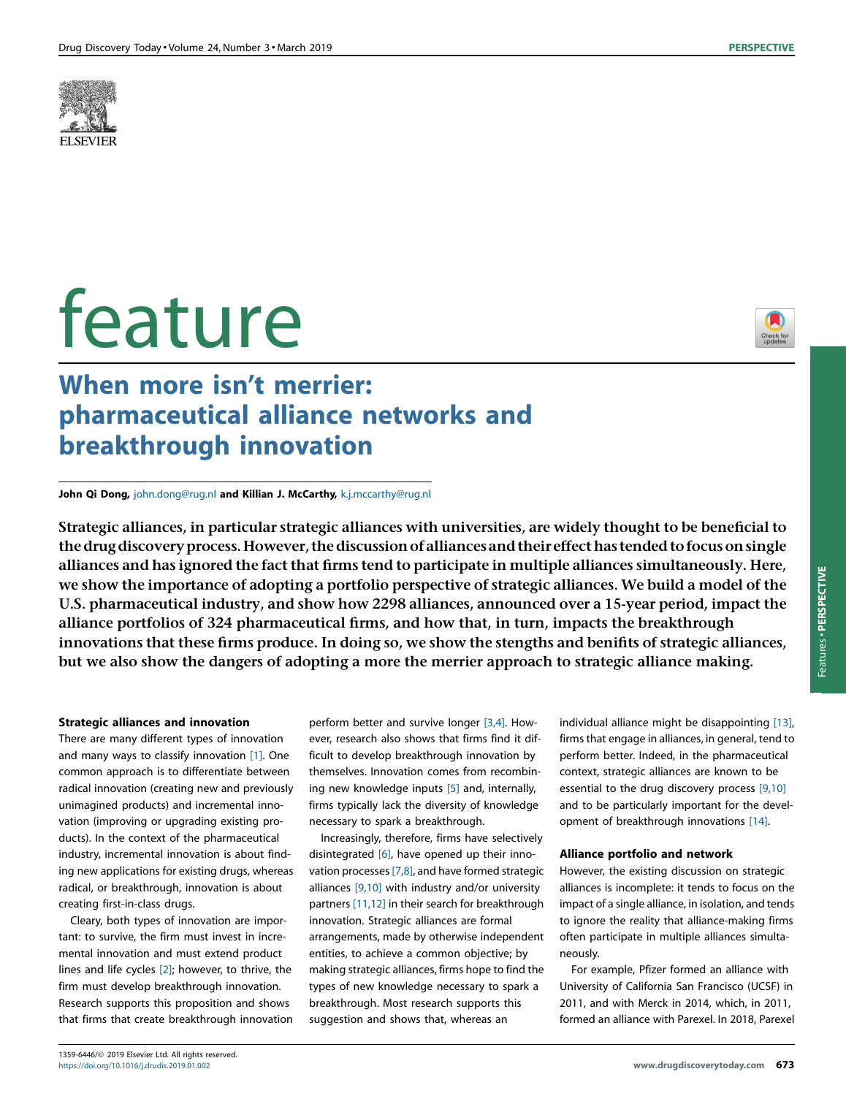

# feature

# When more isn't merrier: pharmaceutical alliance networks and breakthrough innovation

John Qi Dong, [john.dong@rug.nl](mailto:john.dong@rug.nl) and Killian J. McCarthy, [k.j.mccarthy@rug.nl](mailto:k.j.mccarthy@rug.nl)

Strategic alliances, in particular strategic alliances with universities, are widely thought to be beneficial to the drug discovery process. However, the discussion of alliances and their effect has tended to focus on single alliances and has ignored the fact that firms tend to participate in multiple alliances simultaneously. Here, we show the importance of adopting a portfolio perspective of strategic alliances. We build a model of the U.S. pharmaceutical industry, and show how 2298 alliances, announced over a 15-year period, impact the alliance portfolios of 324 pharmaceutical firms, and how that, in turn, impacts the breakthrough innovations that these firms produce. In doing so, we show the stengths and benifits of strategic alliances, but we also show the dangers of adopting a more the merrier approach to strategic alliance making.

# Strategic alliances and innovation

There are many different types of innovation and many ways to classify innovation [\[1\]](#page-4-0). One common approach is to differentiate between radical innovation (creating new and previously unimagined products) and incremental innovation (improving or upgrading existing products). In the context of the pharmaceutical industry, incremental innovation is about finding new applications for existing drugs, whereas radical, or breakthrough, innovation is about creating first-in-class drugs.

Cleary, both types of innovation are important: to survive, the firm must invest in incremental innovation and must extend product lines and life cycles [\[2\];](#page-4-0) however, to thrive, the firm must develop breakthrough innovation. Research supports this proposition and shows that firms that create breakthrough innovation

perform better and survive longer [\[3,4\].](#page-4-0) However, research also shows that firms find it difficult to develop breakthrough innovation by themselves. Innovation comes from recombining new knowledge inputs [\[5\]](#page-4-0) and, internally, firms typically lack the diversity of knowledge necessary to spark a breakthrough.

Increasingly, therefore, firms have selectively disintegrated [\[6\]](#page-4-0), have opened up their inno-vation processes [\[7,8\]](#page-4-0), and have formed strategic alliances [\[9,10\]](#page-4-0) with industry and/or university partners [\[11,12\]](#page-4-0) in their search for breakthrough innovation. Strategic alliances are formal arrangements, made by otherwise independent entities, to achieve a common objective; by making strategic alliances, firms hope to find the types of new knowledge necessary to spark a breakthrough. Most research supports this suggestion and shows that, whereas an

individual alliance might be disappointing [\[13\],](#page-4-0) firms that engage in alliances, in general, tend to perform better. Indeed, in the pharmaceutical context, strategic alliances are known to be essential to the drug discovery process [\[9,10\]](#page-4-0) and to be particularly important for the development of breakthrough innovations [\[14\]](#page-4-0).

# Alliance portfolio and network

However, the existing discussion on strategic alliances is incomplete: it tends to focus on the impact of a single alliance, in isolation, and tends to ignore the reality that alliance-making firms often participate in multiple alliances simultaneously.

For example, Pfizer formed an alliance with University of California San Francisco (UCSF) in 2011, and with Merck in 2014, which, in 2011, formed an alliance with Parexel. In 2018, Parexel

Check for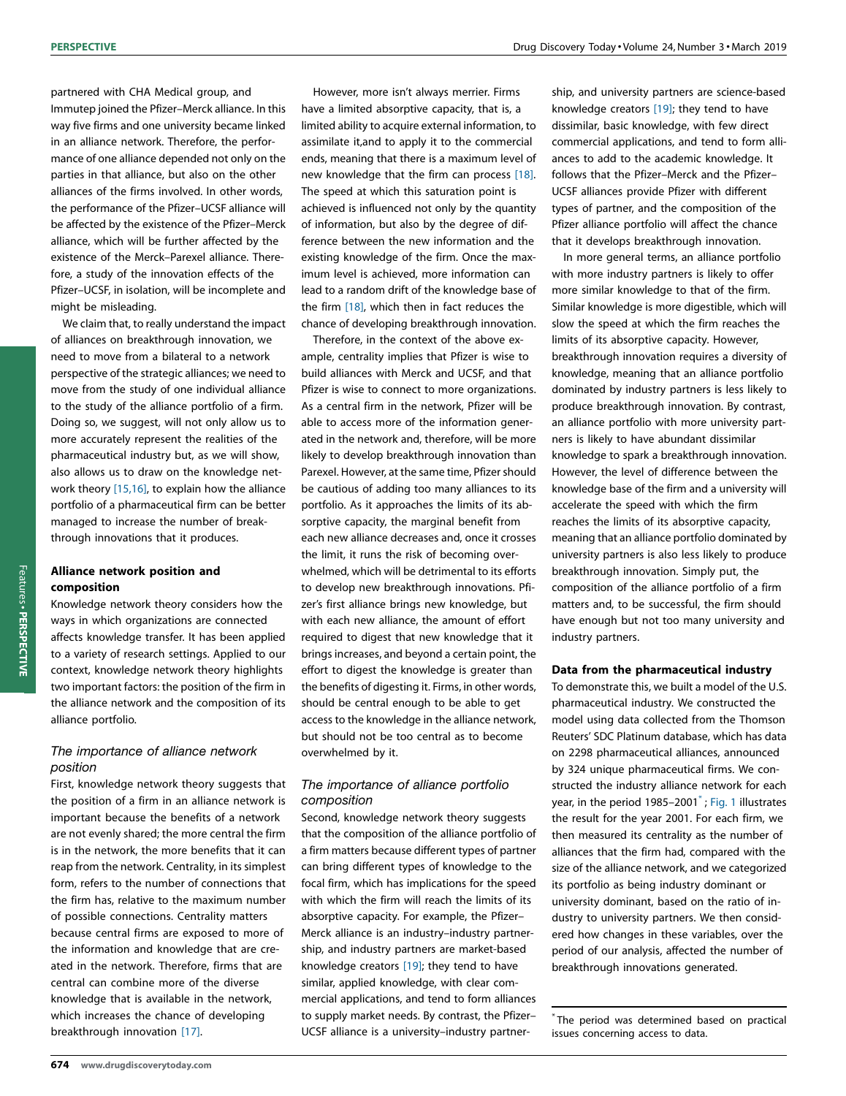partnered with CHA Medical group, and Immutep joined the Pfizer–Merck alliance. In this way five firms and one university became linked in an alliance network. Therefore, the performance of one alliance depended not only on the parties in that alliance, but also on the other alliances of the firms involved. In other words, the performance of the Pfizer–UCSF alliance will be affected by the existence of the Pfizer–Merck alliance, which will be further affected by the existence of the Merck–Parexel alliance. Therefore, a study of the innovation effects of the Pfizer–UCSF, in isolation, will be incomplete and might be misleading.

We claim that, to really understand the impact of alliances on breakthrough innovation, we need to move from a bilateral to a network perspective of the strategic alliances; we need to move from the study of one individual alliance to the study of the alliance portfolio of a firm. Doing so, we suggest, will not only allow us to more accurately represent the realities of the pharmaceutical industry but, as we will show, also allows us to draw on the knowledge network theory [\[15,16\]](#page-4-0), to explain how the alliance portfolio of a pharmaceutical firm can be better managed to increase the number of breakthrough innovations that it produces.

# Alliance network position and composition

Knowledge network theory considers how the ways in which organizations are connected affects knowledge transfer. It has been applied to a variety of research settings. Applied to our context, knowledge network theory highlights two important factors: the position of the firm in the alliance network and the composition of its alliance portfolio.

# The importance of alliance network position

First, knowledge network theory suggests that the position of a firm in an alliance network is important because the benefits of a network are not evenly shared; the more central the firm is in the network, the more benefits that it can reap from the network. Centrality, in its simplest form, refers to the number of connections that the firm has, relative to the maximum number of possible connections. Centrality matters because central firms are exposed to more of the information and knowledge that are created in the network. Therefore, firms that are central can combine more of the diverse knowledge that is available in the network, which increases the chance of developing breakthrough innovation [\[17\].](#page-4-0)

However, more isn't always merrier. Firms have a limited absorptive capacity, that is, a limited ability to acquire external information, to assimilate it,and to apply it to the commercial ends, meaning that there is a maximum level of new knowledge that the firm can process [\[18\]](#page-4-0). The speed at which this saturation point is achieved is influenced not only by the quantity of information, but also by the degree of difference between the new information and the existing knowledge of the firm. Once the maximum level is achieved, more information can lead to a random drift of the knowledge base of the firm [\[18\]](#page-4-0), which then in fact reduces the chance of developing breakthrough innovation.

Therefore, in the context of the above example, centrality implies that Pfizer is wise to build alliances with Merck and UCSF, and that Pfizer is wise to connect to more organizations. As a central firm in the network, Pfizer will be able to access more of the information generated in the network and, therefore, will be more likely to develop breakthrough innovation than Parexel. However, at the same time, Pfizer should be cautious of adding too many alliances to its portfolio. As it approaches the limits of its absorptive capacity, the marginal benefit from each new alliance decreases and, once it crosses the limit, it runs the risk of becoming overwhelmed, which will be detrimental to its efforts to develop new breakthrough innovations. Pfizer's first alliance brings new knowledge, but with each new alliance, the amount of effort required to digest that new knowledge that it brings increases, and beyond a certain point, the effort to digest the knowledge is greater than the benefits of digesting it. Firms, in other words, should be central enough to be able to get access to the knowledge in the alliance network, but should not be too central as to become overwhelmed by it.

# The importance of alliance portfolio composition

Second, knowledge network theory suggests that the composition of the alliance portfolio of a firm matters because different types of partner can bring different types of knowledge to the focal firm, which has implications for the speed with which the firm will reach the limits of its absorptive capacity. For example, the Pfizer– Merck alliance is an industry–industry partnership, and industry partners are market-based knowledge creators [\[19\];](#page-4-0) they tend to have similar, applied knowledge, with clear commercial applications, and tend to form alliances to supply market needs. By contrast, the Pfizer– UCSF alliance is a university–industry partner-

ship, and university partners are science-based knowledge creators [\[19\];](#page-4-0) they tend to have dissimilar, basic knowledge, with few direct commercial applications, and tend to form alliances to add to the academic knowledge. It follows that the Pfizer–Merck and the Pfizer– UCSF alliances provide Pfizer with different types of partner, and the composition of the Pfizer alliance portfolio will affect the chance that it develops breakthrough innovation.

In more general terms, an alliance portfolio with more industry partners is likely to offer more similar knowledge to that of the firm. Similar knowledge is more digestible, which will slow the speed at which the firm reaches the limits of its absorptive capacity. However, breakthrough innovation requires a diversity of knowledge, meaning that an alliance portfolio dominated by industry partners is less likely to produce breakthrough innovation. By contrast, an alliance portfolio with more university partners is likely to have abundant dissimilar knowledge to spark a breakthrough innovation. However, the level of difference between the knowledge base of the firm and a university will accelerate the speed with which the firm reaches the limits of its absorptive capacity, meaning that an alliance portfolio dominated by university partners is also less likely to produce breakthrough innovation. Simply put, the composition of the alliance portfolio of a firm matters and, to be successful, the firm should have enough but not too many university and industry partners.

#### Data from the pharmaceutical industry

To demonstrate this, we built a model of the U.S. pharmaceutical industry. We constructed the model using data collected from the Thomson Reuters' SDC Platinum database, which has data on 2298 pharmaceutical alliances, announced by 324 unique pharmaceutical firms. We constructed the industry alliance network for each year, in the period 1985–2001<sup>\*</sup>; [Fig.](#page-2-0) 1 illustrates the result for the year 2001. For each firm, we then measured its centrality as the number of alliances that the firm had, compared with the size of the alliance network, and we categorized its portfolio as being industry dominant or university dominant, based on the ratio of industry to university partners. We then considered how changes in these variables, over the period of our analysis, affected the number of breakthrough innovations generated.

<sup>\*</sup> The period was determined based on practical issues concerning access to data.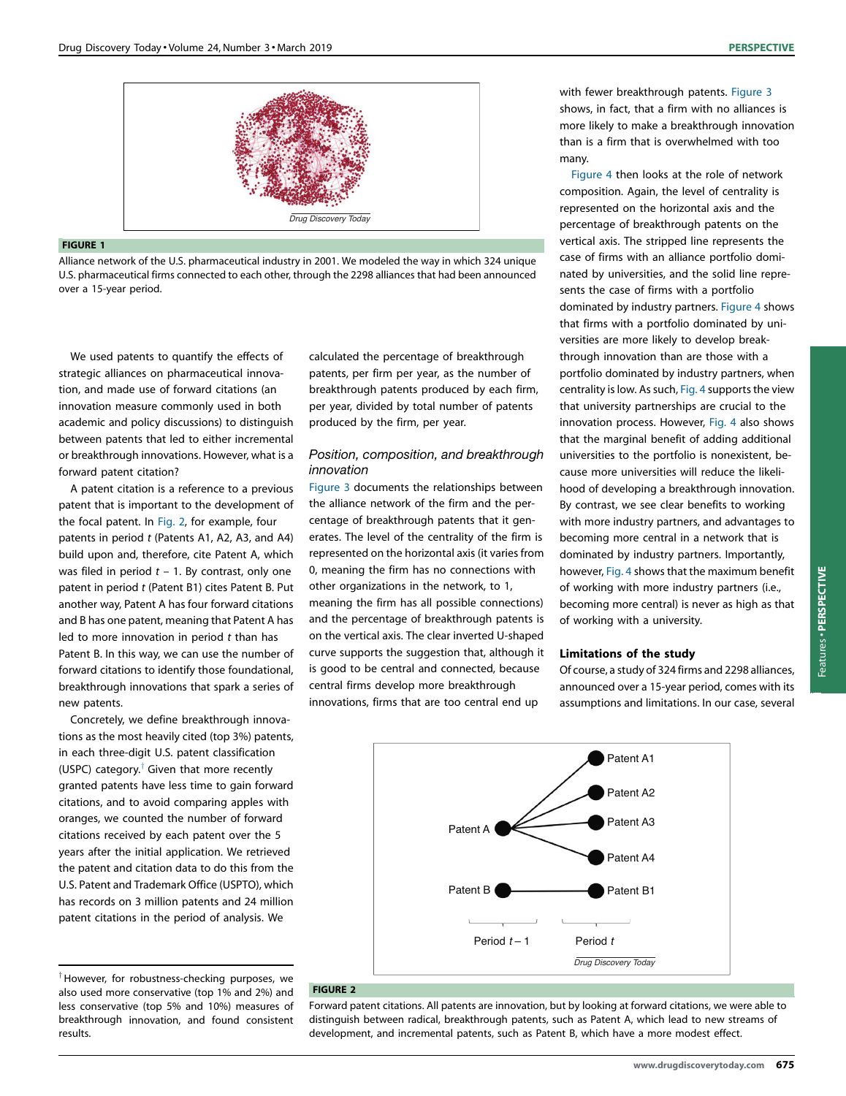<span id="page-2-0"></span>



Alliance network of the U.S. pharmaceutical industry in 2001. We modeled the way in which 324 unique U.S. pharmaceutical firms connected to each other, through the 2298 alliances that had been announced over a 15-year period.

We used patents to quantify the effects of strategic alliances on pharmaceutical innovation, and made use of forward citations (an innovation measure commonly used in both academic and policy discussions) to distinguish between patents that led to either incremental or breakthrough innovations. However, what is a forward patent citation?

A patent citation is a reference to a previous patent that is important to the development of the focal patent. In Fig. 2, for example, four patents in period t (Patents A1, A2, A3, and A4) build upon and, therefore, cite Patent A, which was filed in period  $t - 1$ . By contrast, only one patent in period t (Patent B1) cites Patent B. Put another way, Patent A has four forward citations and B has one patent, meaning that Patent A has led to more innovation in period  $t$  than has Patent B. In this way, we can use the number of forward citations to identify those foundational, breakthrough innovations that spark a series of new patents.

Concretely, we define breakthrough innovations as the most heavily cited (top 3%) patents, in each three-digit U.S. patent classification (USPC) category.<sup>†</sup> Given that more recently granted patents have less time to gain forward citations, and to avoid comparing apples with oranges, we counted the number of forward citations received by each patent over the 5 years after the initial application. We retrieved the patent and citation data to do this from the U.S. Patent and Trademark Office (USPTO), which has records on 3 million patents and 24 million patent citations in the period of analysis. We

y However, for robustness-checking purposes, we also used more conservative (top 1% and 2%) and less conservative (top 5% and 10%) measures of breakthrough innovation, and found consistent results.

calculated the percentage of breakthrough patents, per firm per year, as the number of breakthrough patents produced by each firm, per year, divided by total number of patents produced by the firm, per year.

# Position, composition, and breakthrough innovation

[Figure](#page-3-0) 3 documents the relationships between the alliance network of the firm and the percentage of breakthrough patents that it generates. The level of the centrality of the firm is represented on the horizontal axis (it varies from 0, meaning the firm has no connections with other organizations in the network, to 1, meaning the firm has all possible connections) and the percentage of breakthrough patents is on the vertical axis. The clear inverted U-shaped curve supports the suggestion that, although it is good to be central and connected, because central firms develop more breakthrough innovations, firms that are too central end up

with fewer breakthrough patents. [Figure](#page-3-0) 3 shows, in fact, that a firm with no alliances is more likely to make a breakthrough innovation than is a firm that is overwhelmed with too many.

[Figure](#page-3-0) 4 then looks at the role of network composition. Again, the level of centrality is represented on the horizontal axis and the percentage of breakthrough patents on the vertical axis. The stripped line represents the case of firms with an alliance portfolio dominated by universities, and the solid line represents the case of firms with a portfolio dominated by industry partners. [Figure](#page-3-0) 4 shows that firms with a portfolio dominated by universities are more likely to develop breakthrough innovation than are those with a portfolio dominated by industry partners, when centrality is low. As such, [Fig.](#page-3-0) 4 supports the view that university partnerships are crucial to the innovation process. However, [Fig.](#page-3-0) 4 also shows that the marginal benefit of adding additional universities to the portfolio is nonexistent, because more universities will reduce the likelihood of developing a breakthrough innovation. By contrast, we see clear benefits to working with more industry partners, and advantages to becoming more central in a network that is dominated by industry partners. Importantly, however, [Fig.](#page-3-0) 4 shows that the maximum benefit of working with more industry partners (i.e., becoming more central) is never as high as that of working with a university.

# Limitations of the study

Of course, a study of 324 firms and 2298 alliances, announced over a 15-year period, comes with its assumptions and limitations. In our case, several



# FIGURE 2

Forward patent citations. All patents are innovation, but by looking at forward citations, we were able to distinguish between radical, breakthrough patents, such as Patent A, which lead to new streams of development, and incremental patents, such as Patent B, which have a more modest effect.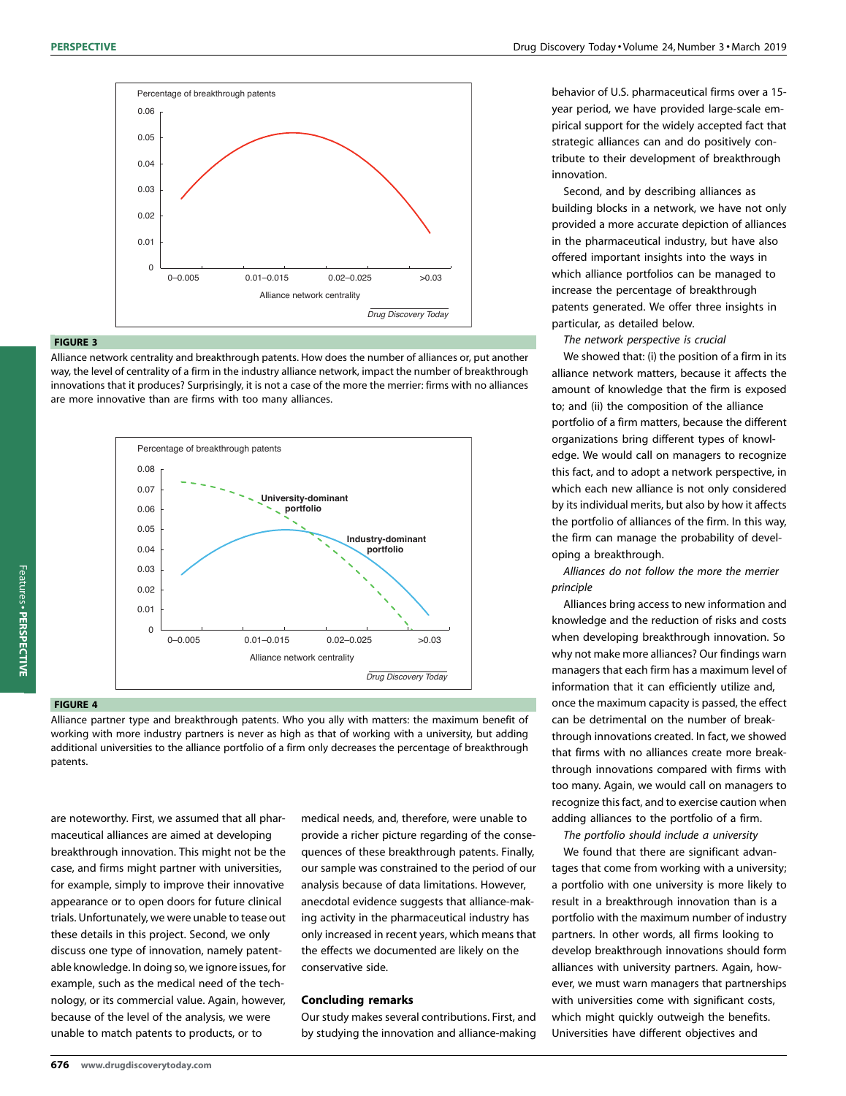<span id="page-3-0"></span>

# FIGURE 3

Alliance network centrality and breakthrough patents. How does the number of alliances or, put another way, the level of centrality of a firm in the industry alliance network, impact the number of breakthrough innovations that it produces? Surprisingly, it is not a case of the more the merrier: firms with no alliances are more innovative than are firms with too many alliances.



#### FIGURE 4

Alliance partner type and breakthrough patents. Who you ally with matters: the maximum benefit of working with more industry partners is never as high as that of working with a university, but adding additional universities to the alliance portfolio of a firm only decreases the percentage of breakthrough patents.

are noteworthy. First, we assumed that all pharmaceutical alliances are aimed at developing breakthrough innovation. This might not be the case, and firms might partner with universities, for example, simply to improve their innovative appearance or to open doors for future clinical trials. Unfortunately, we were unable to tease out these details in this project. Second, we only discuss one type of innovation, namely patentable knowledge. In doing so, we ignore issues, for example, such as the medical need of the technology, or its commercial value. Again, however, because of the level of the analysis, we were unable to match patents to products, or to

medical needs, and, therefore, were unable to provide a richer picture regarding of the consequences of these breakthrough patents. Finally, our sample was constrained to the period of our analysis because of data limitations. However, anecdotal evidence suggests that alliance-making activity in the pharmaceutical industry has only increased in recent years, which means that the effects we documented are likely on the conservative side.

# Concluding remarks

Our study makes several contributions. First, and by studying the innovation and alliance-making

behavior of U.S. pharmaceutical firms over a 15 year period, we have provided large-scale empirical support for the widely accepted fact that strategic alliances can and do positively contribute to their development of breakthrough innovation.

Second, and by describing alliances as building blocks in a network, we have not only provided a more accurate depiction of alliances in the pharmaceutical industry, but have also offered important insights into the ways in which alliance portfolios can be managed to increase the percentage of breakthrough patents generated. We offer three insights in particular, as detailed below.

The network perspective is crucial

We showed that: (i) the position of a firm in its alliance network matters, because it affects the amount of knowledge that the firm is exposed to; and (ii) the composition of the alliance portfolio of a firm matters, because the different organizations bring different types of knowledge. We would call on managers to recognize this fact, and to adopt a network perspective, in which each new alliance is not only considered by its individual merits, but also by how it affects the portfolio of alliances of the firm. In this way, the firm can manage the probability of developing a breakthrough.

Alliances do not follow the more the merrier principle

Alliances bring access to new information and knowledge and the reduction of risks and costs when developing breakthrough innovation. So why not make more alliances? Our findings warn managers that each firm has a maximum level of information that it can efficiently utilize and, once the maximum capacity is passed, the effect can be detrimental on the number of breakthrough innovations created. In fact, we showed that firms with no alliances create more breakthrough innovations compared with firms with too many. Again, we would call on managers to recognize this fact, and to exercise caution when adding alliances to the portfolio of a firm.

The portfolio should include a university

We found that there are significant advantages that come from working with a university; a portfolio with one university is more likely to result in a breakthrough innovation than is a portfolio with the maximum number of industry partners. In other words, all firms looking to develop breakthrough innovations should form alliances with university partners. Again, however, we must warn managers that partnerships with universities come with significant costs, which might quickly outweigh the benefits. Universities have different objectives and